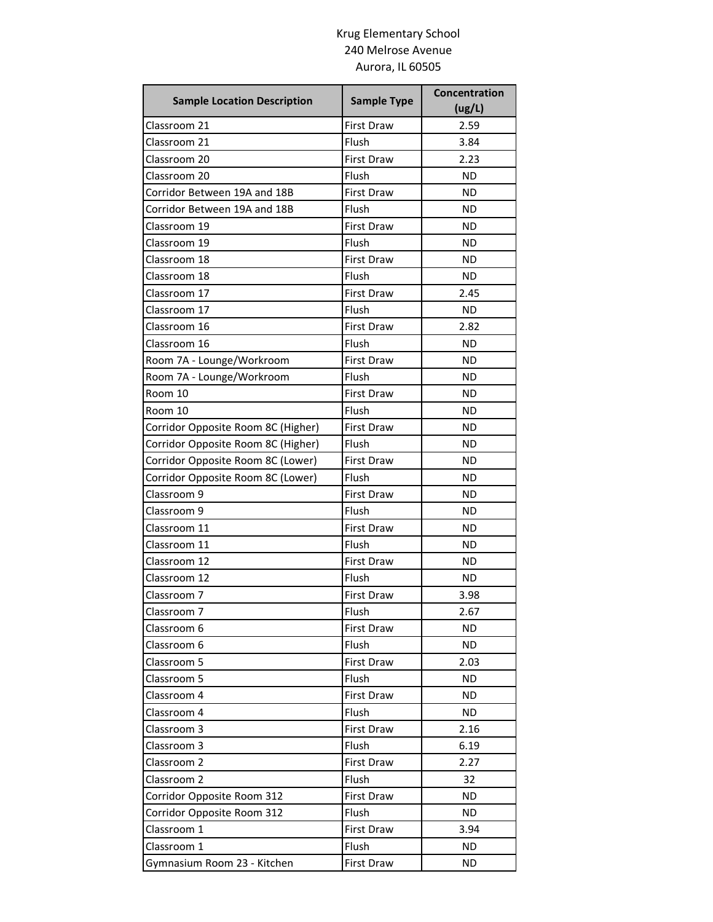## Krug Elementary School 240 Melrose Avenue Aurora, IL 60505

| <b>Sample Location Description</b> | <b>Sample Type</b> | <b>Concentration</b><br>(ug/L) |
|------------------------------------|--------------------|--------------------------------|
| Classroom 21                       | <b>First Draw</b>  | 2.59                           |
| Classroom 21                       | Flush              | 3.84                           |
| Classroom 20                       | <b>First Draw</b>  | 2.23                           |
| Classroom 20                       | Flush              | <b>ND</b>                      |
| Corridor Between 19A and 18B       | <b>First Draw</b>  | <b>ND</b>                      |
| Corridor Between 19A and 18B       | Flush              | <b>ND</b>                      |
| Classroom 19                       | <b>First Draw</b>  | ND                             |
| Classroom 19                       | Flush              | <b>ND</b>                      |
| Classroom 18                       | <b>First Draw</b>  | <b>ND</b>                      |
| Classroom 18                       | Flush              | ND                             |
| Classroom 17                       | <b>First Draw</b>  | 2.45                           |
| Classroom 17                       | Flush              | ND                             |
| Classroom 16                       | <b>First Draw</b>  | 2.82                           |
| Classroom 16                       | Flush              | <b>ND</b>                      |
| Room 7A - Lounge/Workroom          | <b>First Draw</b>  | <b>ND</b>                      |
| Room 7A - Lounge/Workroom          | Flush              | <b>ND</b>                      |
| Room 10                            | <b>First Draw</b>  | ND                             |
| Room 10                            | Flush              | <b>ND</b>                      |
| Corridor Opposite Room 8C (Higher) | <b>First Draw</b>  | <b>ND</b>                      |
| Corridor Opposite Room 8C (Higher) | Flush              | <b>ND</b>                      |
| Corridor Opposite Room 8C (Lower)  | <b>First Draw</b>  | <b>ND</b>                      |
| Corridor Opposite Room 8C (Lower)  | Flush              | ND                             |
| Classroom 9                        | <b>First Draw</b>  | <b>ND</b>                      |
| Classroom 9                        | Flush              | ΝD                             |
| Classroom 11                       | <b>First Draw</b>  | <b>ND</b>                      |
| Classroom 11                       | Flush              | <b>ND</b>                      |
| Classroom 12                       | <b>First Draw</b>  | ND                             |
| Classroom 12                       | Flush              | <b>ND</b>                      |
| Classroom 7                        | <b>First Draw</b>  | 3.98                           |
| Classroom 7                        | Flush              | 2.67                           |
| Classroom 6                        | <b>First Draw</b>  | ND                             |
| Classroom 6                        | Flush              | <b>ND</b>                      |
| Classroom 5                        | <b>First Draw</b>  | 2.03                           |
| Classroom 5                        | Flush              | <b>ND</b>                      |
| Classroom 4                        | <b>First Draw</b>  | <b>ND</b>                      |
| Classroom 4                        | Flush              | ND.                            |
| Classroom 3                        | <b>First Draw</b>  | 2.16                           |
| Classroom 3                        | Flush              | 6.19                           |
| Classroom 2                        | <b>First Draw</b>  | 2.27                           |
| Classroom 2                        | Flush              | 32                             |
| Corridor Opposite Room 312         | First Draw         | ΝD                             |
| Corridor Opposite Room 312         | Flush              | <b>ND</b>                      |
| Classroom 1                        | First Draw         | 3.94                           |
| Classroom 1                        | Flush              | ND                             |
| Gymnasium Room 23 - Kitchen        | First Draw         | <b>ND</b>                      |